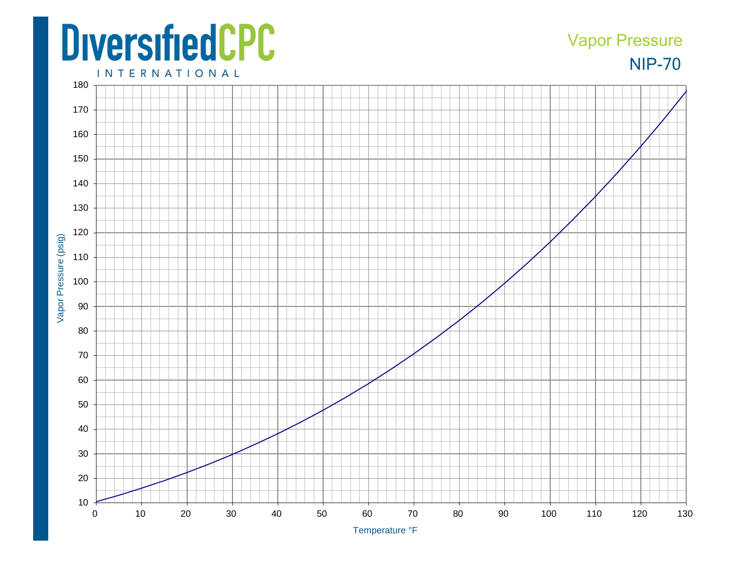## **DiversifiedCPC**

## NIP-70 Vapor Pressure

**INTERNATIONAL**